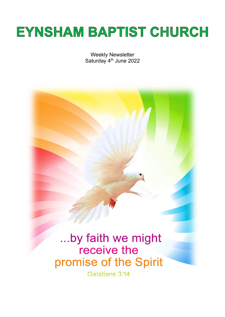# **EYNSHAM BAPTIST CHURCH**

Weekly Newsletter Saturday 4<sup>th</sup> June 2022

...by faith we might receive the promise of the Spirit

Galatians 3:14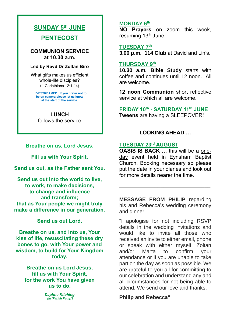## **SUNDAY 5th JUNE**

**PENTECOST**

**COMMUNION SERVICE at 10.30 a.m.**

#### **Led by Revd Dr Zoltan Biro**

What gifts makes us efficient whole-life disciples? (1 Corinthians 12:1-14)

**LIVESTREAMED. If you prefer not to be on camera please let us know at the start of the service.**

 **LUNCH** follows the service

**Breathe on us, Lord Jesus.**

**Fill us with Your Spirit.**

**Send us out, as the Father sent You.**

**Send us out into the world to live, to work, to make decisions, to change and influence and transform; that as Your people we might truly make a difference in our generation.**

**Send us out Lord.**

**Breathe on us, and into us, Your kiss of life, resuscitating these dry bones to go, with Your power and wisdom, to build for Your Kingdom today.**

**Breathe on us Lord Jesus, fill us with Your Spirit, for the work You have given us to do.**

> *Daphne Kitching (in 'Parish Pump')*

#### **MONDAY 6 th**

**NO Prayers** on zoom this week, resuming 13<sup>th</sup> June.

**TUESDAY 7 th**

**3.00 p.m. 114 Club** at David and Lin's.

## **THURSDAY 9 th**

**10.30 a.m. Bible Study** starts with coffee and continues until 12 noon. All are welcome.

**12 noon Communion** short reflective service at which all are welcome.

**FRIDAY 10th - SATURDAY 11th JUNE Tweens** are having a SLEEPOVER!

## **LOOKING AHEAD …**

## **TUESDAY 23rd AUGUST**

**OASIS IS BACK …** this will be a oneday event held in Eynsham Baptist Church. Booking necessary so please put the date in your diaries and look out for more details nearer the time.

**MESSAGE FROM PHILIP** regarding his and Rebecca's wedding ceremony and dinner:

**\_\_\_\_\_\_\_\_\_\_\_\_\_\_\_\_\_\_\_\_\_\_\_\_\_\_\_\_\_\_\_**

"I apologise for not including RSVP details in the wedding invitations and would like to invite all those who received an invite to either email, phone or speak with either myself, Zoltan and/or Marta to confirm your attendance or if you are unable to take part on the day as soon as possible. We are grateful to you all for committing to our celebration and understand any and all circumstances for not being able to attend. We send our love and thanks.

## **Philip and Rebecca"**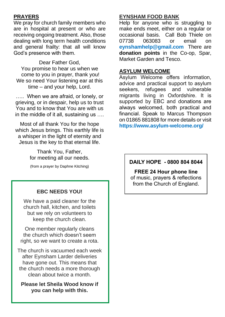## **PRAYERS**

We pray for church family members who are in hospital at present or who are receiving ongoing treatment. Also, those dealing with long term health conditions and general frailty: that all will know God's presence with them.

Dear Father God, You promise to hear us when we come to you in prayer, thank you! We so need Your listening ear at this time – and your help, Lord.

….. When we are afraid, or lonely, or grieving, or in despair, help us to trust You and to know that You are with us in the middle of it all, sustaining us ….

Most of all thank You for the hope which Jesus brings. This earthly life is a whisper in the light of eternity and Jesus is the key to that eternal life.

> Thank You, Father, for meeting all our needs.

(from a prayer by Daphne Kitching)

## **EBC NEEDS YOU!**

We have a paid cleaner for the church hall, kitchen, and toilets but we rely on volunteers to keep the church clean.

One member regularly cleans the church which doesn't seem right, so we want to create a rota.

The church is vacuumed each week after Eynsham Larder deliveries have gone out. This means that the church needs a more thorough clean about twice a month.

**Please let Sheila Wood know if you can help with this.**

#### **EYNSHAM FOOD BANK**

Help for anyone who is struggling to make ends meet, either on a regular or occasional basis. Call Bob Thiele on 07738 063083 or email on **[eynshamhelp@gmail.com](mailto:eynshamhelp@gmail.com)** There are **donation points** in the Co-op, Spar, Market Garden and Tesco.

#### **ASYLUM WELCOME**

Asylum Welcome offers information, advice and practical support to asylum seekers, refugees and vulnerable migrants living in Oxfordshire. It is supported by EBC and donations are always welcomed, both practical and financial. Speak to Marcus Thompson on 01865 881808 for more details or visit **<https://www.asylum-welcome.org/>**

## **DAILY HOPE - 0800 804 8044**

**FREE 24 Hour phone line**  of music, prayers & reflections from the Church of England.